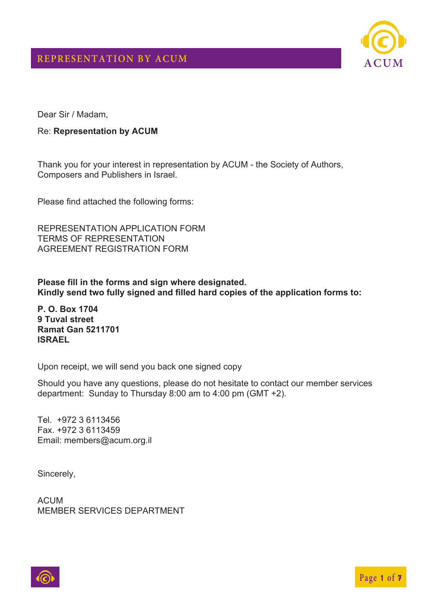

Dear Sir / Madam,

#### Re: **Representation by ACUM**

Thank you for your interest in representation by ACUM - the Society of Authors, Composers and Publishers in Israel.

Please find attached the following forms:

REPRESENTATION APPLICATION FORM TERMS OF REPRESENTATION AGREEMENT REGISTRATION FORM

**Please fill in the forms and sign where designated. Kindly send two fully signed and filled hard copies of the application forms to:** 

**P. O. Box 1704 9 Tuval street Ramat Gan 5211701 ISRAEL** 

Upon receipt, we will send you back one signed copy

Should you have any questions, please do not hesitate to contact our member services department: Sunday to Thursday 8:00 am to 4:00 pm (GMT +2).

Tel. +972 3 6113456 Fax. +972 3 6113459 Email: members@acum.org.il

Sincerely,

ACUM MEMBER SERVICES DEPARTMENT

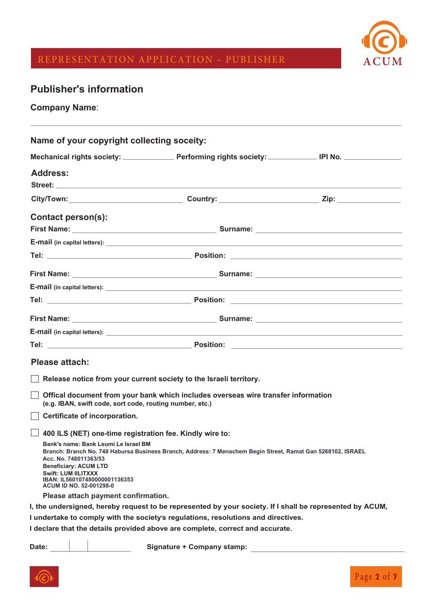

# **REPRESENTATION APPLICATION – PUBLISHER ACUM**

### **Publisher's information**

**Company Name**:

| Name of your copyright collecting soceity:                                                                                                                                                                                     |                                                                                                             |  |  |  |  |
|--------------------------------------------------------------------------------------------------------------------------------------------------------------------------------------------------------------------------------|-------------------------------------------------------------------------------------------------------------|--|--|--|--|
|                                                                                                                                                                                                                                |                                                                                                             |  |  |  |  |
| <b>Address:</b>                                                                                                                                                                                                                |                                                                                                             |  |  |  |  |
| Street: with a street of the street of the street of the street of the street of the street of the street of the street of the street of the street of the street of the street of the street of the street of the street of t |                                                                                                             |  |  |  |  |
|                                                                                                                                                                                                                                | City/Town: ___________________________________Country: _____________________________Zip: ________________   |  |  |  |  |
| <b>Contact person(s):</b>                                                                                                                                                                                                      |                                                                                                             |  |  |  |  |
|                                                                                                                                                                                                                                |                                                                                                             |  |  |  |  |
|                                                                                                                                                                                                                                |                                                                                                             |  |  |  |  |
|                                                                                                                                                                                                                                |                                                                                                             |  |  |  |  |
|                                                                                                                                                                                                                                |                                                                                                             |  |  |  |  |
|                                                                                                                                                                                                                                |                                                                                                             |  |  |  |  |
|                                                                                                                                                                                                                                |                                                                                                             |  |  |  |  |
|                                                                                                                                                                                                                                |                                                                                                             |  |  |  |  |
|                                                                                                                                                                                                                                |                                                                                                             |  |  |  |  |
|                                                                                                                                                                                                                                |                                                                                                             |  |  |  |  |
| <b>Please attach:</b>                                                                                                                                                                                                          |                                                                                                             |  |  |  |  |
|                                                                                                                                                                                                                                |                                                                                                             |  |  |  |  |
|                                                                                                                                                                                                                                | Release notice from your current society to the Israeli territory.                                          |  |  |  |  |
| (e.g. IBAN, swift code, sort code, routing number, etc.)                                                                                                                                                                       | Offical document from your bank which includes overseas wire transfer information                           |  |  |  |  |
| Certificate of incorporation.                                                                                                                                                                                                  |                                                                                                             |  |  |  |  |
| 400 ILS (NET) one-time registration fee. Kindly wire to:                                                                                                                                                                       |                                                                                                             |  |  |  |  |
| Bank's name: Bank Leumi Le Israel BM<br>Acc. No. 748011363/53<br><b>Beneficiary: ACUM LTD</b><br>Swift: LUM IILITXXX<br>IBAN: IL560107480000001136353<br><b>ACUM ID NO. 52-001298-0</b>                                        | Branch: Branch No. 748 Habursa Business Branch, Address: 7 Menachem Begin Street, Ramat Gan 5268102, ISRAEL |  |  |  |  |
| Please attach payment confirmation.                                                                                                                                                                                            |                                                                                                             |  |  |  |  |
|                                                                                                                                                                                                                                | I, the undersigned, hereby request to be represented by your society. If I shall be represented by ACUM,    |  |  |  |  |
|                                                                                                                                                                                                                                | I undertake to comply with the society's regulations, resolutions and directives.                           |  |  |  |  |
|                                                                                                                                                                                                                                | I declare that the details provided above are complete, correct and accurate.                               |  |  |  |  |
| Date:                                                                                                                                                                                                                          | Signature + Company stamp:                                                                                  |  |  |  |  |

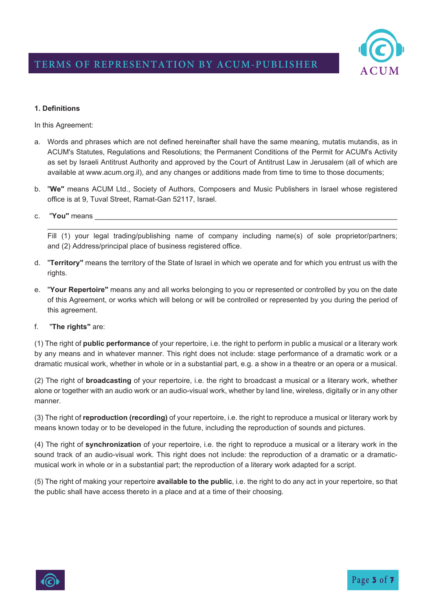

#### **1. Definitions**

In this Agreement:

- a. Words and phrases which are not defined hereinafter shall have the same meaning, mutatis mutandis, as in ACUM's Statutes, Regulations and Resolutions; the Permanent Conditions of the Permit for ACUM's Activity as set by Israeli Antitrust Authority and approved by the Court of Antitrust Law in Jerusalem (all of which are available at www.acum.org.il), and any changes or additions made from time to time to those documents;
- b. "**We"** means ACUM Ltd., Society of Authors, Composers and Music Publishers in Israel whose registered office is at 9, Tuval Street, Ramat-Gan 52117, Israel.
- c. **"You"** means

Fill (1) your legal trading/publishing name of company including name(s) of sole proprietor/partners; and (2) Address/principal place of business registered office.

 $\_$  , and the set of the set of the set of the set of the set of the set of the set of the set of the set of the set of the set of the set of the set of the set of the set of the set of the set of the set of the set of th

- d. "**Territory"** means the territory of the State of Israel in which we operate and for which you entrust us with the rights.
- e. "**Your Repertoire"** means any and all works belonging to you or represented or controlled by you on the date of this Agreement, or works which will belong or will be controlled or represented by you during the period of this agreement.
- f. "**The rights"** are:

(1) The right of **public performance** of your repertoire, i.e. the right to perform in public a musical or a literary work by any means and in whatever manner. This right does not include: stage performance of a dramatic work or a dramatic musical work, whether in whole or in a substantial part, e.g. a show in a theatre or an opera or a musical.

(2) The right of **broadcasting** of your repertoire, i.e. the right to broadcast a musical or a literary work, whether alone or together with an audio work or an audio-visual work, whether by land line, wireless, digitally or in any other manner.

(3) The right of **reproduction (recording)** of your repertoire, i.e. the right to reproduce a musical or literary work by means known today or to be developed in the future, including the reproduction of sounds and pictures.

(4) The right of **synchronization** of your repertoire, i.e. the right to reproduce a musical or a literary work in the sound track of an audio-visual work. This right does not include: the reproduction of a dramatic or a dramaticmusical work in whole or in a substantial part; the reproduction of a literary work adapted for a script.

(5) The right of making your repertoire **available to the public**, i.e. the right to do any act in your repertoire, so that the public shall have access thereto in a place and at a time of their choosing.

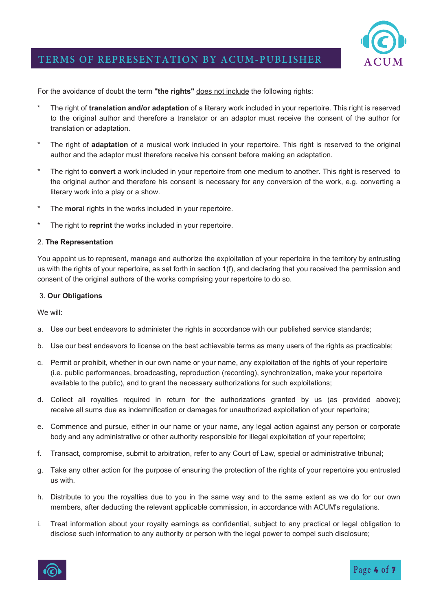

For the avoidance of doubt the term **"the rights"** does not include the following rights:

- \* The right of **translation and/or adaptation** of a literary work included in your repertoire. This right is reserved to the original author and therefore a translator or an adaptor must receive the consent of the author for translation or adaptation.
- \* The right of **adaptation** of a musical work included in your repertoire. This right is reserved to the original author and the adaptor must therefore receive his consent before making an adaptation.
- \* The right to **convert** a work included in your repertoire from one medium to another. This right is reserved to the original author and therefore his consent is necessary for any conversion of the work, e.g. converting a literary work into a play or a show.
- The **moral** rights in the works included in your repertoire.
- The right to **reprint** the works included in your repertoire.

#### 2. **The Representation**

You appoint us to represent, manage and authorize the exploitation of your repertoire in the territory by entrusting us with the rights of your repertoire, as set forth in section 1(f), and declaring that you received the permission and consent of the original authors of the works comprising your repertoire to do so.

#### 3. **Our Obligations**

We will:

- a. Use our best endeavors to administer the rights in accordance with our published service standards;
- b. Use our best endeavors to license on the best achievable terms as many users of the rights as practicable;
- c. Permit or prohibit, whether in our own name or your name, any exploitation of the rights of your repertoire (i.e. public performances, broadcasting, reproduction (recording), synchronization, make your repertoire available to the public), and to grant the necessary authorizations for such exploitations;
- d. Collect all royalties required in return for the authorizations granted by us (as provided above); receive all sums due as indemnification or damages for unauthorized exploitation of your repertoire;
- e. Commence and pursue, either in our name or your name, any legal action against any person or corporate body and any administrative or other authority responsible for illegal exploitation of your repertoire;
- f. Transact, compromise, submit to arbitration, refer to any Court of Law, special or administrative tribunal;
- g. Take any other action for the purpose of ensuring the protection of the rights of your repertoire you entrusted us with.
- h. Distribute to you the royalties due to you in the same way and to the same extent as we do for our own members, after deducting the relevant applicable commission, in accordance with ACUM's regulations.
- i. Treat information about your royalty earnings as confidential, subject to any practical or legal obligation to disclose such information to any authority or person with the legal power to compel such disclosure;

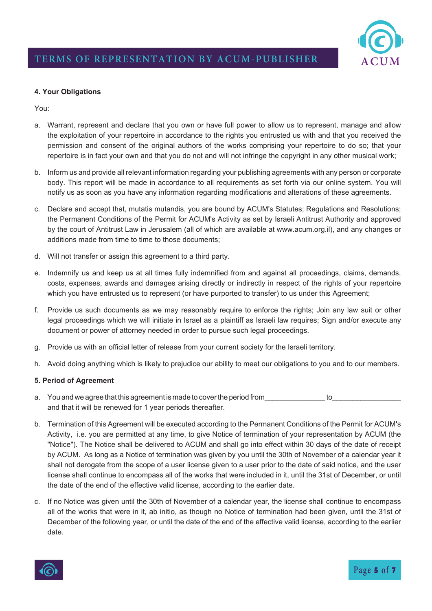

#### **4. Your Obligations**

You:

- a. Warrant, represent and declare that you own or have full power to allow us to represent, manage and allow the exploitation of your repertoire in accordance to the rights you entrusted us with and that you received the permission and consent of the original authors of the works comprising your repertoire to do so; that your repertoire is in fact your own and that you do not and will not infringe the copyright in any other musical work;
- b. Inform us and provide all relevant information regarding your publishing agreements with any person or corporate body. This report will be made in accordance to all requirements as set forth via our online system. You will notify us as soon as you have any information regarding modifications and alterations of these agreements.
- c. Declare and accept that, mutatis mutandis, you are bound by ACUM's Statutes; Regulations and Resolutions; the Permanent Conditions of the Permit for ACUM's Activity as set by Israeli Antitrust Authority and approved by the court of Antitrust Law in Jerusalem (all of which are available at www.acum.org.il), and any changes or additions made from time to time to those documents;
- d. Will not transfer or assign this agreement to a third party.
- e. Indemnify us and keep us at all times fully indemnified from and against all proceedings, claims, demands, costs, expenses, awards and damages arising directly or indirectly in respect of the rights of your repertoire which you have entrusted us to represent (or have purported to transfer) to us under this Agreement;
- f. Provide us such documents as we may reasonably require to enforce the rights; Join any law suit or other legal proceedings which we will initiate in Israel as a plaintiff as Israeli law requires; Sign and/or execute any document or power of attorney needed in order to pursue such legal proceedings.
- g. Provide us with an official letter of release from your current society for the Israeli territory.
- h. Avoid doing anything which is likely to prejudice our ability to meet our obligations to you and to our members.

#### **5. Period of Agreement**

- a. You and we agree that this agreement is made to cover the period from  $\qquad \qquad$  to and that it will be renewed for 1 year periods thereafter.
- b. Termination of this Agreement will be executed according to the Permanent Conditions of the Permit for ACUM**'**s Activity, i.e. you are permitted at any time, to give Notice of termination of your representation by ACUM (the "Notice"). The Notice shall be delivered to ACUM and shall go into effect within 30 days of the date of receipt by ACUM. As long as a Notice of termination was given by you until the 30th of November of a calendar year it shall not derogate from the scope of a user license given to a user prior to the date of said notice, and the user license shall continue to encompass all of the works that were included in it, until the 31st of December, or until the date of the end of the effective valid license, according to the earlier date.
- c. If no Notice was given until the 30th of November of a calendar year, the license shall continue to encompass all of the works that were in it, ab initio, as though no Notice of termination had been given, until the 31st of December of the following year, or until the date of the end of the effective valid license, according to the earlier date.

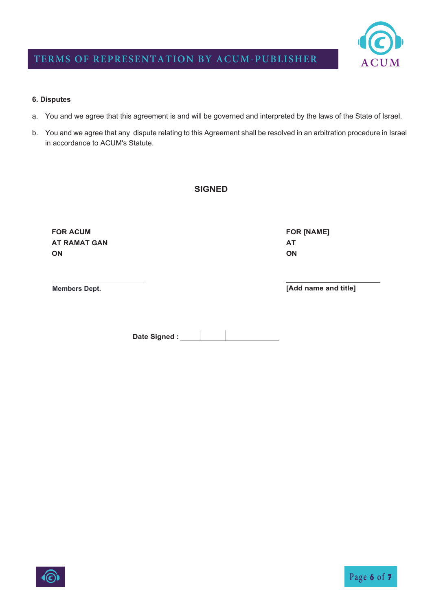

### **TERMS OF REPRESENTATION BY ACUM-PUBLISHER**

#### **6. Disputes**

- a. You and we agree that this agreement is and will be governed and interpreted by the laws of the State of Israel.
- b. You and we agree that any dispute relating to this Agreement shall be resolved in an arbitration procedure in Israel in accordance to ACUM's Statute.

#### **SIGNED**

**FOR ACUM AT RAMAT GAN ON** 

**Members Dept.**

**[Add name and title]** 

**FOR [NAME]**

**AT ON** 

Date Signed :